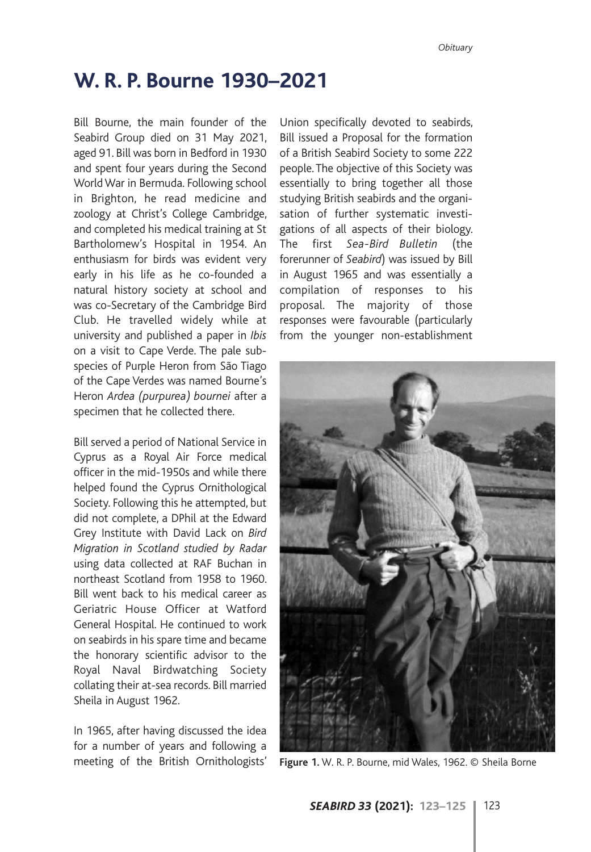## **W. R. P. Bourne 1930–2021**

Bill Bourne, the main founder of the Seabird Group died on 31 May 2021, aged 91. Bill was born in Bedford in 1930 and spent four years during the Second World War in Bermuda. Following school in Brighton, he read medicine and zoology at Christ's College Cambridge, and completed his medical training at St Bartholomew's Hospital in 1954. An enthusiasm for birds was evident very early in his life as he co-founded a natural history society at school and was co-Secretary of the Cambridge Bird Club. He travelled widely while at university and published a paper in *Ibis* on a visit to Cape Verde. The pale subspecies of Purple Heron from São Tiago of the Cape Verdes was named Bourne's Heron *Ardea (purpurea) bournei* after a specimen that he collected there.

Bill served a period of National Service in Cyprus as a Royal Air Force medical officer in the mid-1950s and while there helped found the Cyprus Ornithological Society. Following this he attempted, but did not complete, a DPhil at the Edward Grey Institute with David Lack on *Bird Migration in Scotland studied by Radar* using data collected at RAF Buchan in northeast Scotland from 1958 to 1960. Bill went back to his medical career as Geriatric House Officer at Watford General Hospital. He continued to work on seabirds in his spare time and became the honorary scientific advisor to the Royal Naval Birdwatching Society collating their at-sea records. Bill married Sheila in August 1962.

In 1965, after having discussed the idea for a number of years and following a meeting of the British Ornithologists' **Figure 1.** W. R. P. Bourne, mid Wales, 1962. © Sheila Borne

Union specifically devoted to seabirds, Bill issued a Proposal for the formation of a British Seabird Society to some 222 people. The objective of this Society was essentially to bring together all those studying British seabirds and the organisation of further systematic investigations of all aspects of their biology. The first *Sea-Bird Bulletin* (the forerunner of *Seabird*) was issued by Bill in August 1965 and was essentially a compilation of responses to his proposal. The majority of those responses were favourable (particularly from the younger non-establishment

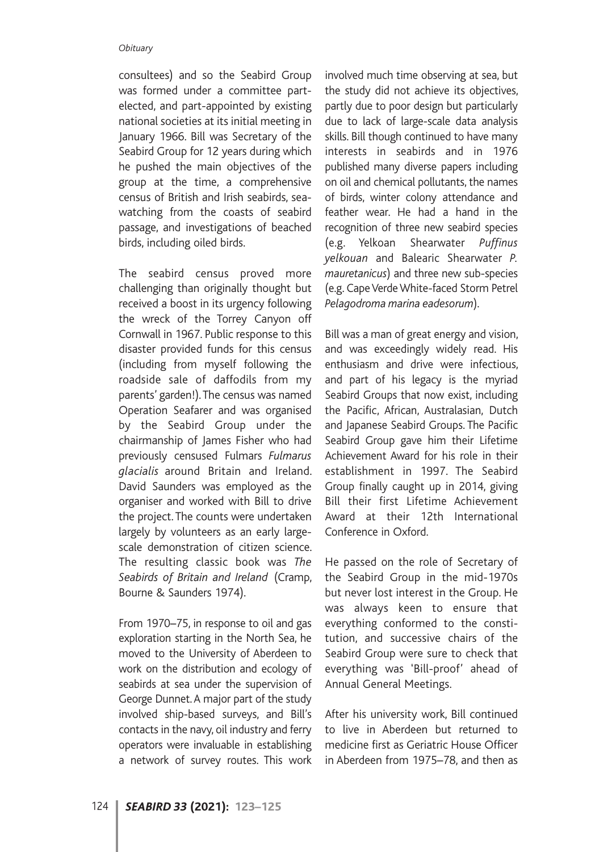## *Obituary*

consultees) and so the Seabird Group was formed under a committee partelected, and part-appointed by existing national societies at its initial meeting in January 1966. Bill was Secretary of the Seabird Group for 12 years during which he pushed the main objectives of the group at the time, a comprehensive census of British and Irish seabirds, seawatching from the coasts of seabird passage, and investigations of beached birds, including oiled birds.

The seabird census proved more challenging than originally thought but received a boost in its urgency following the wreck of the Torrey Canyon off Cornwall in 1967. Public response to this disaster provided funds for this census (including from myself following the roadside sale of daffodils from my parents' garden!). The census was named Operation Seafarer and was organised by the Seabird Group under the chairmanship of James Fisher who had previously censused Fulmars *Fulmarus glacialis* around Britain and Ireland. David Saunders was employed as the organiser and worked with Bill to drive the project. The counts were undertaken largely by volunteers as an early largescale demonstration of citizen science. The resulting classic book was *The Seabirds of Britain and Ireland* (Cramp, Bourne & Saunders 1974).

From 1970–75, in response to oil and gas exploration starting in the North Sea, he moved to the University of Aberdeen to work on the distribution and ecology of seabirds at sea under the supervision of George Dunnet. A major part of the study involved ship-based surveys, and Bill's contacts in the navy, oil industry and ferry operators were invaluable in establishing a network of survey routes. This work

involved much time observing at sea, but the study did not achieve its objectives, partly due to poor design but particularly due to lack of large-scale data analysis skills. Bill though continued to have many interests in seabirds and in 1976 published many diverse papers including on oil and chemical pollutants, the names of birds, winter colony attendance and feather wear. He had a hand in the recognition of three new seabird species (e.g. Yelkoan Shearwater *Puffinus yelkouan* and Balearic Shearwater *P. mauretanicus*) and three new sub-species (e.g. Cape Verde White-faced Storm Petrel *Pelagodroma marina eadesorum*).

Bill was a man of great energy and vision, and was exceedingly widely read. His enthusiasm and drive were infectious, and part of his legacy is the myriad Seabird Groups that now exist, including the Pacific, African, Australasian, Dutch and Japanese Seabird Groups. The Pacific Seabird Group gave him their Lifetime Achievement Award for his role in their establishment in 1997. The Seabird Group finally caught up in 2014, giving Bill their first Lifetime Achievement Award at their 12th International Conference in Oxford.

He passed on the role of Secretary of the Seabird Group in the mid-1970s but never lost interest in the Group. He was always keen to ensure that everything conformed to the constitution, and successive chairs of the Seabird Group were sure to check that everything was 'Bill-proof' ahead of Annual General Meetings.

After his university work, Bill continued to live in Aberdeen but returned to medicine first as Geriatric House Officer in Aberdeen from 1975–78, and then as